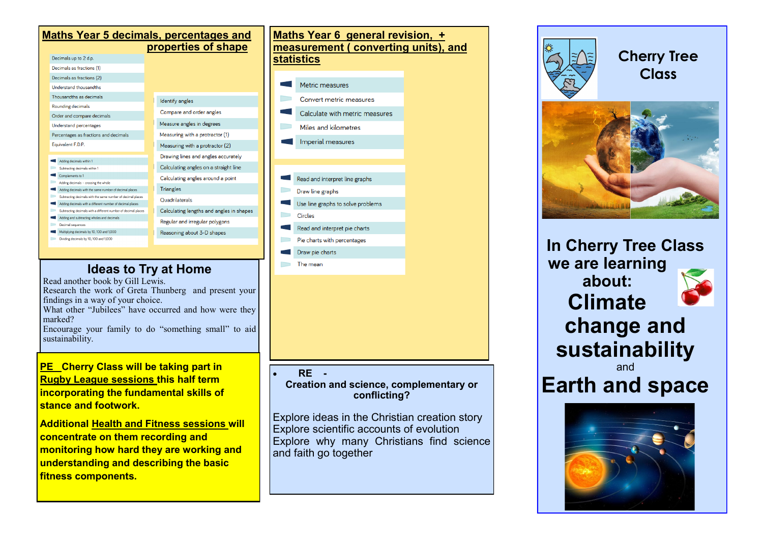| <b>Maths Year 5 decimals, percentages and</b><br>properties of shape                                                        |  |                                          |
|-----------------------------------------------------------------------------------------------------------------------------|--|------------------------------------------|
| Decimals up to 2 d.p.                                                                                                       |  |                                          |
| Decimals as fractions (1)                                                                                                   |  |                                          |
| Decimals as fractions (2)                                                                                                   |  |                                          |
| <b>Understand thousandths</b>                                                                                               |  |                                          |
| Thousandths as decimals                                                                                                     |  |                                          |
| Rounding decimals                                                                                                           |  | Identify angles                          |
| Order and compare decimals                                                                                                  |  | Compare and order angles                 |
| <b>Understand percentages</b>                                                                                               |  | Measure angles in degrees                |
| Percentages as fractions and decimals                                                                                       |  | Measuring with a protractor (1)          |
| Equivalent F.D.P.                                                                                                           |  | Measuring with a protractor (2)          |
|                                                                                                                             |  | Drawing lines and angles accurately      |
| Adding decimals within 1                                                                                                    |  |                                          |
| Subtracting decimals within 1                                                                                               |  | Calculating angles on a straight line    |
| Complements to 1                                                                                                            |  | Calculating angles around a point        |
| Adding decimals - crossing the whole                                                                                        |  |                                          |
| Adding decimals with the same number of decimal places                                                                      |  | <b>Triangles</b>                         |
| Subtracting decimals with the same number of decimal places                                                                 |  | <b>Ouadrilaterals</b>                    |
| Adding decimals with a different number of decimal places<br>Subtracting decimals with a different number of decimal places |  |                                          |
| Adding and subtracting wholes and decimals                                                                                  |  | Calculating lengths and angles in shapes |
| Decimal sequences                                                                                                           |  | Regular and irregular polygons           |
| Multiplying decimals by 10, 100 and 1,000                                                                                   |  | Reasoning about 3-D shapes               |
| Disiding decimals by 10, 100 and 1,000                                                                                      |  |                                          |

# **Ideas to Try at Home**

Read another book by Gill Lewis.

Research the work of Greta Thunberg and present your findings in a way of your choice.

What other "Jubilees" have occurred and how were they marked?

Encourage your family to do "something small" to aid sustainability.

#### **PE Cherry Class will be taking part in Rugby League sessions this half term incorporating the fundamental skills of stance and footwork.**

**Additional Health and Fitness sessions will concentrate on them recording and monitoring how hard they are working and understanding and describing the basic fitness components.**

# **Maths Year 6 general revision, + measurement ( converting units), and statistics** Metric measures Convert metric measures Calculate with metric measures Miles and kilometres Imperial measures Read and interpret line graphs Draw line graphs Use line graphs to solve problems Circles Read and interpret pie charts Pie charts with percentages Draw pie charts The mean

#### • **RE -**

**Creation and science, complementary or conflicting?**

Explore ideas in the Christian creation story Explore scientific accounts of evolution Explore why many Christians find science and faith go together



**Cherry Tree Class**



**In Cherry Tree Class we are learning about: Climate change and sustainability** and **Earth and space**